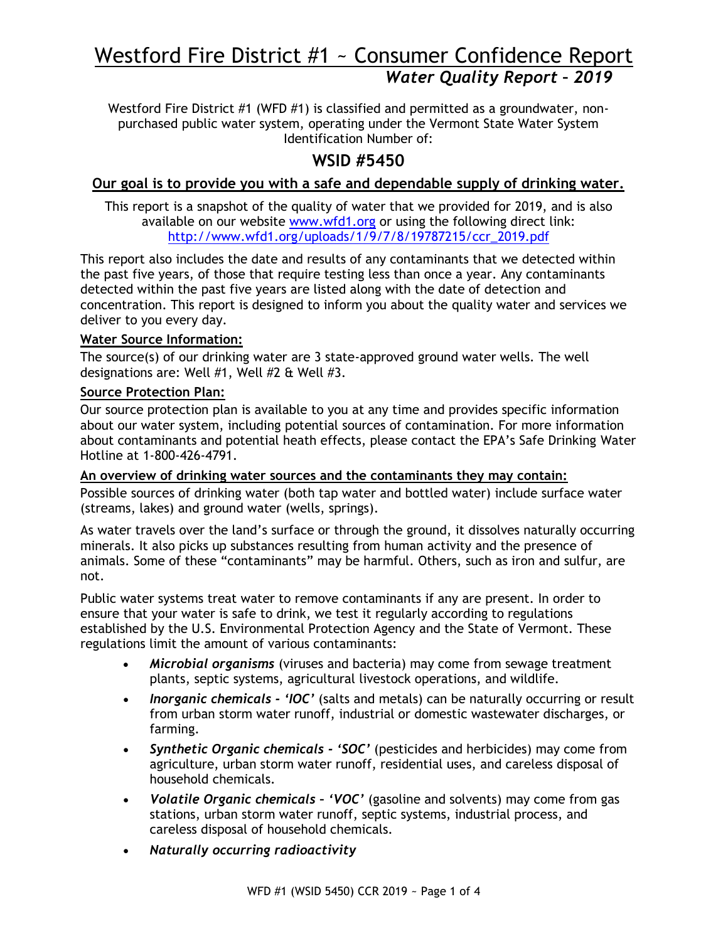# Westford Fire District #1 ~ Consumer Confidence Report *Water Quality Report – 2019*

Westford Fire District #1 (WFD #1) is classified and permitted as a groundwater, nonpurchased public water system, operating under the Vermont State Water System Identification Number of:

## **WSID #5450**

## **Our goal is to provide you with a safe and dependable supply of drinking water.**

This report is a snapshot of the quality of water that we provided for 2019, and is also available on our website [www.wfd1.org](http://www.wfd1.org/) or using the following direct link: [http://www.wfd1.org/uploads/1/9/7/8/19787215/ccr\\_2019.pdf](http://www.wfd1.org/uploads/1/9/7/8/19787215/ccr_2019.pdf)

This report also includes the date and results of any contaminants that we detected within the past five years, of those that require testing less than once a year. Any contaminants detected within the past five years are listed along with the date of detection and concentration. This report is designed to inform you about the quality water and services we deliver to you every day.

#### **Water Source Information:**

The source(s) of our drinking water are 3 state-approved ground water wells. The well designations are: Well #1, Well #2 & Well #3.

## **Source Protection Plan:**

Our source protection plan is available to you at any time and provides specific information about our water system, including potential sources of contamination. For more information about contaminants and potential heath effects, please contact the EPA's Safe Drinking Water Hotline at 1-800-426-4791.

**An overview of drinking water sources and the contaminants they may contain:** Possible sources of drinking water (both tap water and bottled water) include surface water (streams, lakes) and ground water (wells, springs).

As water travels over the land's surface or through the ground, it dissolves naturally occurring minerals. It also picks up substances resulting from human activity and the presence of animals. Some of these "contaminants" may be harmful. Others, such as iron and sulfur, are not.

Public water systems treat water to remove contaminants if any are present. In order to ensure that your water is safe to drink, we test it regularly according to regulations established by the U.S. Environmental Protection Agency and the State of Vermont. These regulations limit the amount of various contaminants:

- *Microbial organisms* (viruses and bacteria) may come from sewage treatment plants, septic systems, agricultural livestock operations, and wildlife.
- *Inorganic chemicals - 'IOC'* (salts and metals) can be naturally occurring or result from urban storm water runoff, industrial or domestic wastewater discharges, or farming.
- *Synthetic Organic chemicals - 'SOC'* (pesticides and herbicides) may come from agriculture, urban storm water runoff, residential uses, and careless disposal of household chemicals.
- *Volatile Organic chemicals – 'VOC'* (gasoline and solvents) may come from gas stations, urban storm water runoff, septic systems, industrial process, and careless disposal of household chemicals.
- *Naturally occurring radioactivity*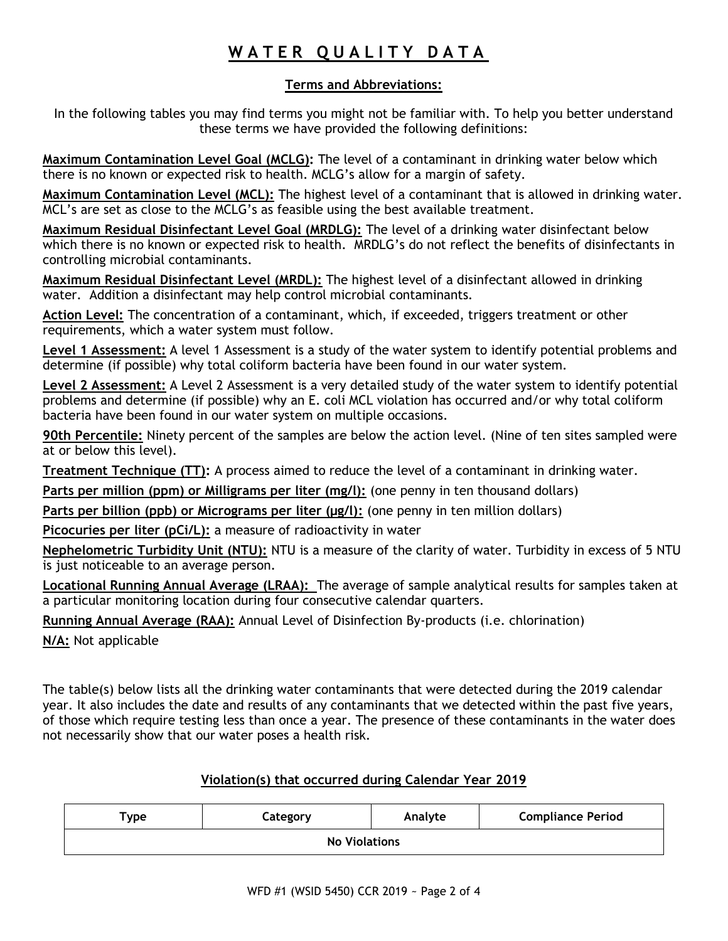# WATER QUALITY DATA

## **Terms and Abbreviations:**

In the following tables you may find terms you might not be familiar with. To help you better understand these terms we have provided the following definitions:

**Maximum Contamination Level Goal (MCLG):** The level of a contaminant in drinking water below which there is no known or expected risk to health. MCLG's allow for a margin of safety.

**Maximum Contamination Level (MCL):** The highest level of a contaminant that is allowed in drinking water. MCL's are set as close to the MCLG's as feasible using the best available treatment.

**Maximum Residual Disinfectant Level Goal (MRDLG):** The level of a drinking water disinfectant below which there is no known or expected risk to health. MRDLG's do not reflect the benefits of disinfectants in controlling microbial contaminants.

**Maximum Residual Disinfectant Level (MRDL):** The highest level of a disinfectant allowed in drinking water. Addition a disinfectant may help control microbial contaminants.

**Action Level:** The concentration of a contaminant, which, if exceeded, triggers treatment or other requirements, which a water system must follow.

**Level 1 Assessment:** A level 1 Assessment is a study of the water system to identify potential problems and determine (if possible) why total coliform bacteria have been found in our water system.

**Level 2 Assessment:** A Level 2 Assessment is a very detailed study of the water system to identify potential problems and determine (if possible) why an E. coli MCL violation has occurred and/or why total coliform bacteria have been found in our water system on multiple occasions.

**90th Percentile:** Ninety percent of the samples are below the action level. (Nine of ten sites sampled were at or below this level).

**Treatment Technique (TT):** A process aimed to reduce the level of a contaminant in drinking water.

**Parts per million (ppm) or Milligrams per liter (mg/l):** (one penny in ten thousand dollars)

**Parts per billion (ppb) or Micrograms per liter (µg/l):** (one penny in ten million dollars)

**Picocuries per liter (pCi/L):** a measure of radioactivity in water

**Nephelometric Turbidity Unit (NTU):** NTU is a measure of the clarity of water. Turbidity in excess of 5 NTU is just noticeable to an average person.

**Locational Running Annual Average (LRAA):** The average of sample analytical results for samples taken at a particular monitoring location during four consecutive calendar quarters.

**Running Annual Average (RAA):** Annual Level of Disinfection By-products (i.e. chlorination)

**N/A:** Not applicable

The table(s) below lists all the drinking water contaminants that were detected during the 2019 calendar year. It also includes the date and results of any contaminants that we detected within the past five years, of those which require testing less than once a year. The presence of these contaminants in the water does not necessarily show that our water poses a health risk.

## **Violation(s) that occurred during Calendar Year 2019**

| Type                 | Category | Analyte | <b>Compliance Period</b> |  |  |  |  |  |
|----------------------|----------|---------|--------------------------|--|--|--|--|--|
| <b>No Violations</b> |          |         |                          |  |  |  |  |  |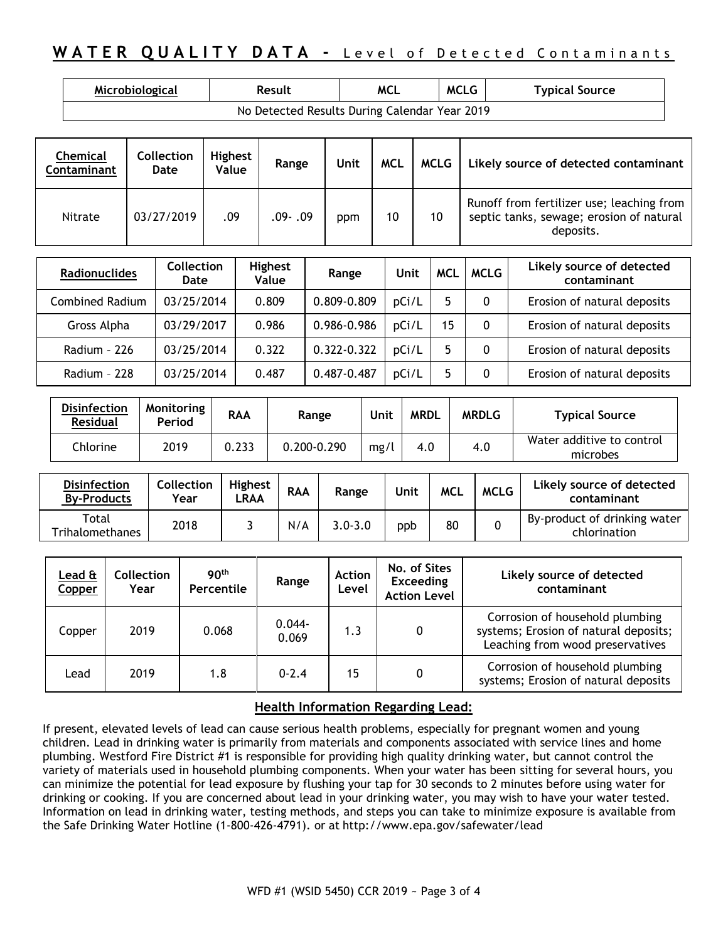## **WATER QUALITY DATA - Level of Detected Contaminants**

| Microbiological                               | Result | <b>MCL</b> | <b>MCLG</b> | <b>Typical Source</b> |  |  |  |  |  |
|-----------------------------------------------|--------|------------|-------------|-----------------------|--|--|--|--|--|
| No Detected Results During Calendar Year 2019 |        |            |             |                       |  |  |  |  |  |

| Chemical<br>Contaminant | Collection<br>Date | <b>Highest</b><br>Value | Range   | Unit | <b>MCL</b> | <b>MCLG</b> | Likely source of detected contaminant                                                              |
|-------------------------|--------------------|-------------------------|---------|------|------------|-------------|----------------------------------------------------------------------------------------------------|
| Nitrate                 | 03/27/2019         | .09                     | .09-.09 | ppm  | 10         | 10          | Runoff from fertilizer use; leaching from<br>septic tanks, sewage; erosion of natural<br>deposits. |

| <b>Radionuclides</b>   | <b>Collection</b><br>Date | <b>Highest</b><br>Value | Range       | Unit  | <b>MCL</b> | <b>MCLG</b> | Likely source of detected<br>contaminant |
|------------------------|---------------------------|-------------------------|-------------|-------|------------|-------------|------------------------------------------|
| <b>Combined Radium</b> | 03/25/2014                | 0.809                   | 0.809-0.809 | pCi/L |            | 0           | Erosion of natural deposits              |
| Gross Alpha            | 03/29/2017                | 0.986                   | 0.986-0.986 | DCi/L | 15         | 0           | Erosion of natural deposits              |
| Radium - 226           | 03/25/2014                | 0.322                   | 0.322-0.322 | pCi/L |            | 0           | Erosion of natural deposits              |
| Radium - 228           | 03/25/2014                | 0.487                   | 0.487-0.487 | pCi/L |            | 0           | Erosion of natural deposits              |

| <b>Disinfection</b><br><b>Residual</b> | Monitoring<br>Period | <b>RAA</b> | Range       | Unit | <b>MRDL</b> | <b>MRDLG</b> | <b>Typical Source</b>                 |
|----------------------------------------|----------------------|------------|-------------|------|-------------|--------------|---------------------------------------|
| Chlorine                               | 2019                 | 0.233      | 0.200-0.290 | mg/l | 4.0         | 4.0          | Water additive to control<br>microbes |

| <b>Disinfection</b><br><b>By-Products</b> | Collection<br>Year | <b>Highest</b><br>.RAA | <b>RAA</b> | Range       | Unit | <b>MCL</b> | <b>MCLG</b> | Likely source of detected<br>contaminant     |
|-------------------------------------------|--------------------|------------------------|------------|-------------|------|------------|-------------|----------------------------------------------|
| Total<br><b>Trihalomethanes</b>           | 2018               |                        | N/A        | $3.0 - 3.0$ | ppb  | 80         |             | By-product of drinking water<br>chlorination |

| Lead ${\tt \hat{a}}$<br>Copper | Collection<br>Year | 90 <sup>th</sup><br>Percentile | Range              | <b>Action</b><br>Level | No. of Sites<br><b>Exceeding</b><br><b>Action Level</b> | Likely source of detected<br>contaminant                                                                     |
|--------------------------------|--------------------|--------------------------------|--------------------|------------------------|---------------------------------------------------------|--------------------------------------------------------------------------------------------------------------|
| Copper                         | 2019               | 0.068                          | $0.044 -$<br>0.069 | 1.3                    | 0                                                       | Corrosion of household plumbing<br>systems; Erosion of natural deposits;<br>Leaching from wood preservatives |
| Lead                           | 2019               | 1.8                            | $0 - 2.4$          | 15                     | 0                                                       | Corrosion of household plumbing<br>systems; Erosion of natural deposits                                      |

### **Health Information Regarding Lead:**

If present, elevated levels of lead can cause serious health problems, especially for pregnant women and young children. Lead in drinking water is primarily from materials and components associated with service lines and home plumbing. Westford Fire District #1 is responsible for providing high quality drinking water, but cannot control the variety of materials used in household plumbing components. When your water has been sitting for several hours, you can minimize the potential for lead exposure by flushing your tap for 30 seconds to 2 minutes before using water for drinking or cooking. If you are concerned about lead in your drinking water, you may wish to have your water tested. Information on lead in drinking water, testing methods, and steps you can take to minimize exposure is available from the Safe Drinking Water Hotline (1-800-426-4791). or at <http://www.epa.gov/safewater/lead>